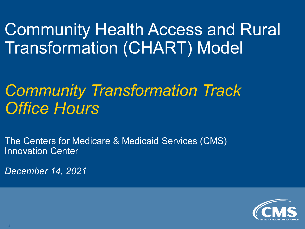Community Health Access and Rural Transformation (CHART) Model

# *Community Transformation Track Office Hours*

The Centers for Medicare & Medicaid Services (CMS) Innovation Center

*December 14, 2021*

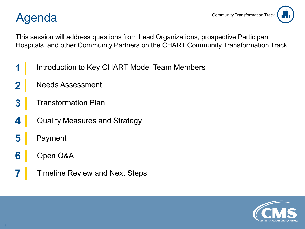#### Agenda



This session will address questions from Lead Organizations, prospective Participant Hospitals, and other Community Partners on the CHART Community Transformation Track.

- Introduction to Key CHART Model Team Members
- Needs Assessment
- Transformation Plan
- Quality Measures and Strategy
- Payment
- Open Q&A
- Timeline Review and Next Steps

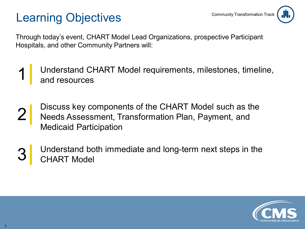### Learning Objectives



Through today's event, CHART Model Lead Organizations, prospective Participant Hospitals, and other Community Partners will:

- Understand CHART Model requirements, milestones, timeline, and resources
- 2 Discuss key components of the CHART Model such as the Needs Assessment, Transformation Plan, Payment, and Medicaid Participation
- Understand both immediate and long-term next steps in the CHART Model

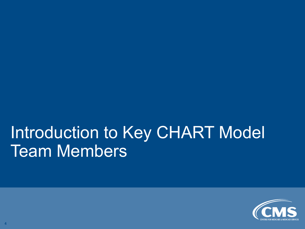# Introduction to Key CHART Model Team Members

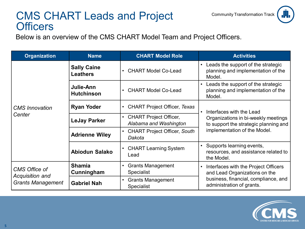#### CMS CHART Leads and Project **Officers**

Below is an overview of the CMS CHART Model Team and Project Officers.

| <b>Organization</b>                                          | <b>Name</b>                           | <b>CHART Model Role</b>                            | <b>Activities</b>                                                                  |  |
|--------------------------------------------------------------|---------------------------------------|----------------------------------------------------|------------------------------------------------------------------------------------|--|
| <b>CMS</b> Innovation<br>Center                              | <b>Sally Caine</b><br><b>Leathers</b> | <b>CHART Model Co-Lead</b><br>$\bullet$            | Leads the support of the strategic<br>planning and implementation of the<br>Model. |  |
|                                                              | Julie-Ann<br><b>Hutchinson</b>        | <b>CHART Model Co-Lead</b><br>$\bullet$            | Leads the support of the strategic<br>planning and implementation of the<br>Model. |  |
|                                                              | <b>Ryan Yoder</b>                     | <b>CHART Project Officer, Texas</b><br>$\bullet$   | Interfaces with the Lead                                                           |  |
|                                                              | <b>LeJay Parker</b>                   | • CHART Project Officer,<br>Alabama and Washington | Organizations in bi-weekly meetings<br>to support the strategic planning and       |  |
|                                                              | <b>Adrienne Wiley</b>                 | <b>CHART Project Officer, South</b><br>Dakota      | implementation of the Model.                                                       |  |
|                                                              | <b>Abiodun Salako</b>                 | • CHART Learning System<br>Lead                    | Supports learning events,<br>resources, and assistance related to<br>the Model.    |  |
| CMS Office of<br>Acquisition and<br><b>Grants Management</b> | <b>Shamia</b>                         | <b>Grants Management</b><br>$\bullet$              | Interfaces with the Project Officers<br>$\bullet$                                  |  |
|                                                              | Cunningham                            | Specialist                                         | and Lead Organizations on the                                                      |  |
|                                                              | <b>Gabriel Nah</b>                    | <b>Grants Management</b><br>$\bullet$              | business, financial, compliance, and<br>administration of grants.                  |  |
|                                                              |                                       | <b>Specialist</b>                                  |                                                                                    |  |



Community Transformation Track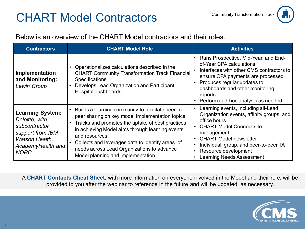### CHART Model Contractors



#### Below is an overview of the CHART Model contractors and their roles.

| <b>Contractors</b>                                                                                                                   | <b>CHART Model Role</b>                                                                                                                                                                                                                                                                                                                                                           | <b>Activities</b>                                                                                                                                                                                                                                                                                                       |  |
|--------------------------------------------------------------------------------------------------------------------------------------|-----------------------------------------------------------------------------------------------------------------------------------------------------------------------------------------------------------------------------------------------------------------------------------------------------------------------------------------------------------------------------------|-------------------------------------------------------------------------------------------------------------------------------------------------------------------------------------------------------------------------------------------------------------------------------------------------------------------------|--|
| Implementation<br>and Monitoring:<br>Lewin Group                                                                                     | Operationalizes calculations described in the<br><b>CHART Community Transformation Track Financial</b><br><b>Specifications</b><br>Develops Lead Organization and Participant<br>Hospital dashboards                                                                                                                                                                              | Runs Prospective, Mid-Year, and End-<br>of-Year CPA calculations<br>Interfaces with other CMS contractors to<br>ensure CPA payments are processed<br>Produces regular updates to<br>$\bullet$<br>dashboards and other monitoring<br>reports<br>Performs ad-hoc analysis as needed                                       |  |
| <b>Learning System:</b><br>Deloitte, with<br>subcontractor<br>support from IBM<br>Watson Health,<br>AcademyHealth and<br><b>NORC</b> | Builds a learning community to facilitate peer-to-<br>peer sharing on key model implementation topics<br>Tracks and promotes the uptake of best practices<br>$\bullet$<br>in achieving Model aims through learning events<br>and resources<br>Collects and leverages data to identify areas of<br>needs across Lead Organizations to advance<br>Model planning and implementation | Learning events, including all-Lead<br>Organization events, affinity groups, and<br>office hours<br><b>CHART Model Connect site</b><br>management<br><b>CHART Model newsletter</b><br>$\bullet$<br>Individual, group, and peer-to-peer TA<br>٠<br>Resource development<br>$\bullet$<br><b>Learning Needs Assessment</b> |  |

A **CHART Contacts Cheat Sheet**, with more information on everyone involved in the Model and their role, will be provided to you after the webinar to reference in the future and will be updated, as necessary.

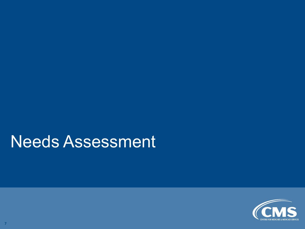# Needs Assessment

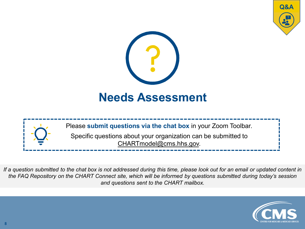





*If a question submitted to the chat box is not addressed during this time, please look out for an email or updated content in the FAQ Repository on the CHART Connect site, which will be informed by questions submitted during today's session and questions sent to the CHART mailbox.*

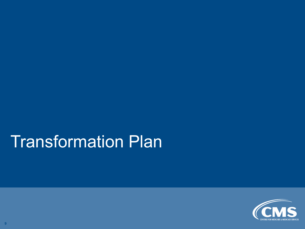# Transformation Plan

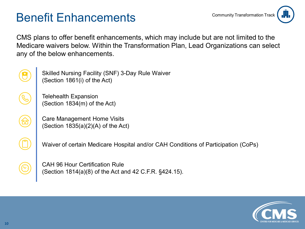### Benefit Enhancements



CMS plans to offer benefit enhancements, which may include but are not limited to the Medicare waivers below. Within the Transformation Plan, Lead Organizations can select any of the below enhancements.



Skilled Nursing Facility (SNF) 3-Day Rule Waiver (Section 1861(i) of the Act)

Telehealth Expansion (Section 1834(m) of the Act)

Care Management Home Visits (Section 1835(a)(2)(A) of the Act)



Waiver of certain Medicare Hospital and/or CAH Conditions of Participation (CoPs)

CAH 96 Hour Certification Rule (Section 1814(a)(8) of the Act and 42 C.F.R. §424.15).

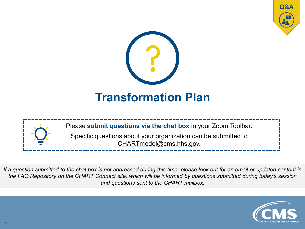





*If a question submitted to the chat box is not addressed during this time, please look out for an email or updated content in the FAQ Repository on the CHART Connect site, which will be informed by questions submitted during today's session and questions sent to the CHART mailbox.*

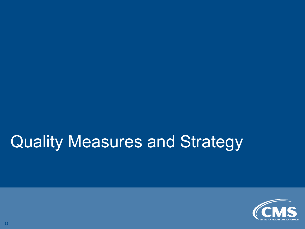# Quality Measures and Strategy

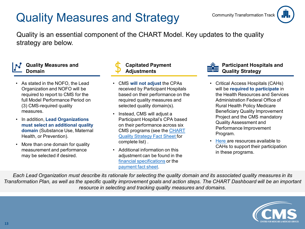### Quality Measures and Strategy



Quality is an essential component of the CHART Model. Key updates to the quality strategy are below.

#### **Quality Measures and Domain**

- As stated in the NOFO, the Lead Organization and NOFO will be required to report to CMS for the full Model Performance Period on (3) CMS-required quality measures.
- In addition, **Lead Organizations must select an additional quality domain** (Substance Use, Maternal Health, or Prevention).
- More than one domain for quality measurement and performance may be selected if desired.



#### **Capitated Payment Adjustments**

- CMS **will not adjust** the CPAs received by Participant Hospitals based on their performance on the required quality measures and selected quality domain(s).
- Instead, CMS will adjust a Participant Hospital's CPA based on their performance across six [CMS programs \(see the CHART](https://app.innovation.cms.gov/CMMIConnect/s/contentdocument/ContentDocument/All)  Quality Strategy Fact Sheet for complete list) .
- Additional information on this adjustment can be found in the [financial specifications](https://cmmi.my.salesforce.com/sfc/p/i0000000iryR/a/t0000002L8OF/o_afhWSpzmK7ZF9CWNmY7Hrh1J4WR3rbgnQ4o_iwEig) or the [payment fact sheet](https://cmmi.my.salesforce.com/sfc/p/i0000000iryR/a/t0000002L8U5/imWGQJTb_lFQAGcLpfoXCEqA2Txk0yCQJpm4DQObG8o).



#### **Participant Hospitals and Quality Strategy**

- Critical Access Hospitals (CAHs) will be **required to participate** in the Health Resources and Services Administration Federal Office of Rural Health Policy Medicare Beneficiary Quality Improvement Project and the CMS mandatory Quality Assessment and Performance Improvement Program.
- [Here a](https://home.grantsolutions.gov/home/#:%7E:text=Medicare%20Beneficiary%20Quality%20Improvement%20Project%20%28MBQIP%29%20The%20Medicare,%28HRSA%29%20Federal%20Office%20of%20Rural%20Health%20Policy%20%28FORHP%29.)re resources available to CAHs to support their participation in these programs.

*Each Lead Organization must describe its rationale for selecting the quality domain and its associated quality measures in its Transformation Plan, as well as the specific quality improvement goals and action steps. The CHART Dashboard will be an important resource in selecting and tracking quality measures and domains.*

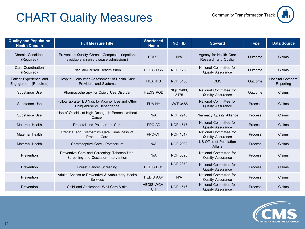### CHART Quality Measures Community Transformation Track



| <b>Quality and Population</b><br><b>Health Domain</b> | <b>Full Measure Title</b>                                                                | <b>Shortened</b><br><b>Name</b> | <b>NQF ID</b>     | <b>Steward</b>                                        | <b>Type</b> | <b>Data Source</b>                   |
|-------------------------------------------------------|------------------------------------------------------------------------------------------|---------------------------------|-------------------|-------------------------------------------------------|-------------|--------------------------------------|
| <b>Chronic Conditions</b><br>(Required)               | Prevention Quality Chronic Composite (Inpatient<br>avoidable chronic disease admissions) | <b>PQI 92</b>                   | N/A               | Agency for Health Care<br><b>Research and Quality</b> | Outcome     | Claims                               |
| Care Coordination<br>(Required)                       | Plan All-Caused Readmission                                                              | <b>HEDIS PCR</b>                | <b>NQF 1768</b>   | National Committee for<br><b>Quality Assurance</b>    | Outcome     | Claims                               |
| Patient Experience and<br>Engagement (Required)       | Hospital Consumer Assessment of Health Care<br><b>Providers and Systems</b>              | <b>HCAHPS</b>                   | <b>NQF 0166</b>   | <b>CMS</b>                                            | Outcome     | <b>Hospital Compare</b><br>Reporting |
| Substance Use                                         | Pharmacotherapy for Opioid Use Disorder                                                  | <b>HEDIS POD</b>                | NQF 3400,<br>3175 | National Committee for<br><b>Quality Assurance</b>    | Outcome     | Claims                               |
| Substance Use                                         | Follow up after ED Visit for Alcohol Use and Other<br>Drug Abuse or Dependence           | <b>FUA-HH</b>                   | <b>NWF 3488</b>   | National Committee for<br><b>Quality Assurance</b>    | Process     | Claims                               |
| Substance Use                                         | Use of Opioids at High Dosage in Persons without<br>Cancer                               | N/A                             | <b>NQF 2940</b>   | <b>Pharmacy Quality Alliance</b>                      | Process     | Claims                               |
| <b>Maternal Health</b>                                | Prenatal and Postpartum Care                                                             | PPC-AD                          | <b>NQF 1517</b>   | National Committee for<br><b>Quality Assurance</b>    | Process     | Claims                               |
| <b>Maternal Health</b>                                | Prenatal and Postpartum Care: Timeliness of<br><b>Prenatal Care</b>                      | PPC-CH                          | <b>NQF 1517</b>   | National Committee for<br><b>Quality Assurance</b>    | Process     | Claims                               |
| <b>Maternal Health</b>                                | Contraceptive Care - Postpartum                                                          | N/A                             | <b>NQF 2902</b>   | US Office of Population<br><b>Affairs</b>             | Process     | Claims                               |
| Prevention                                            | Preventive Care and Screening: Tobacco Use:<br>Screening and Cessation Intervention      | N/A                             | <b>NQF 0028</b>   | National Committee for<br><b>Quality Assurance</b>    | Process     | Claims                               |
| Prevention                                            | <b>Breast Cancer Screening</b>                                                           | <b>HEDIS BCS</b>                | <b>NQF 2372</b>   | National Committee for<br><b>Quality Assurance</b>    | Process     | Claims                               |
| Prevention                                            | Adults' Access to Preventive & Ambulatory Health<br>Services                             | <b>HEDIS AAP</b>                | N/A               | National Committee for<br><b>Quality Assurance</b>    | Process     | Claims                               |
| Prevention                                            | Child and Adolescent Well-Care Visits                                                    | <b>HEDIS WCV-</b><br><b>CH</b>  | <b>NQF 1516</b>   | National Committee for<br><b>Quality Assurance</b>    | Process     | Claims                               |

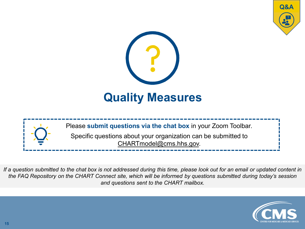





*If a question submitted to the chat box is not addressed during this time, please look out for an email or updated content in the FAQ Repository on the CHART Connect site, which will be informed by questions submitted during today's session and questions sent to the CHART mailbox.*

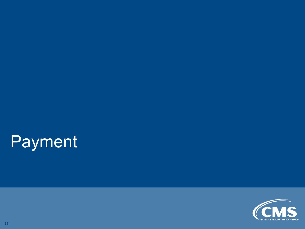# Payment

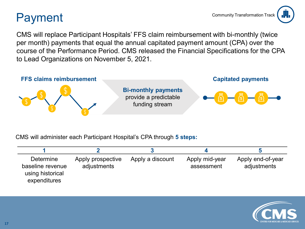### Payment



CMS will replace Participant Hospitals' FFS claim reimbursement with bi-monthly (twice per month) payments that equal the annual capitated payment amount (CPA) over the course of the Performance Period. CMS released the Financial Specifications for the CPA to Lead Organizations on November 5, 2021.



CMS will administer each Participant Hospital's CPA through **5 steps:**

| Determine<br>baseline revenue<br>using historical<br>expenditures | Apply prospective<br>adjustments | Apply a discount | Apply mid-year<br>assessment | Apply end-of-year<br>adjustments |
|-------------------------------------------------------------------|----------------------------------|------------------|------------------------------|----------------------------------|

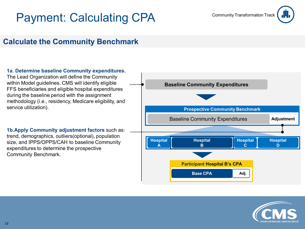### Payment: Calculating CPA Community Transformation Track



#### **Calculate the Community Benchmark**

#### **1a. Determine baseline Community expenditures.**

The Lead Organization will define the Community within Model guidelines. CMS will identify eligible FFS beneficiaries and eligible hospital expenditures during the baseline period with the assignment methodology (i.e., residency, Medicare eligibility, and service utilization).

**1b.Apply Community adjustment factors** such as: trend, demographics, outliers(optional), population size, and IPPS/OPPS/CAH to baseline Community expenditures to determine the prospective Community Benchmark.



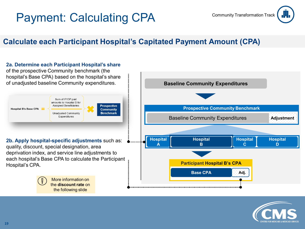### Payment: Calculating CPA Community Transformation Track



#### **Calculate each Participant Hospital's Capitated Payment Amount (CPA)**



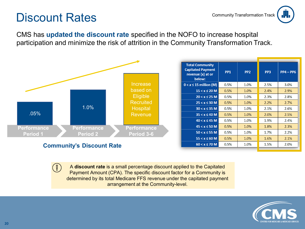#### Discount Rates

 $(\mathbf{l})$ 

CMS has **updated the discount rate** specified in the NOFO to increase hospital participation and minimize the risk of attrition in the Community Transformation Track.



A **discount rate** is a small percentage discount applied to the Capitated Payment Amount (CPA). The specific discount factor for a Community is determined by its total Medicare FFS revenue under the capitated payment arrangement at the Community-level.

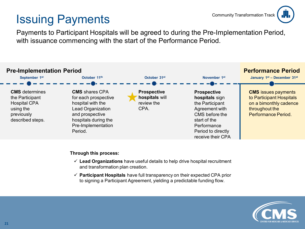### Issuing Payments



Payments to Participant Hospitals will be agreed to during the Pre-Implementation Period, with issuance commencing with the start of the Performance Period.



#### **Through this process:**

- **Lead Organizations** have useful details to help drive hospital recruitment and transformation plan creation.
- **Participant Hospitals** have full transparency on their expected CPA prior to signing a Participant Agreement, yielding a predictable funding flow.

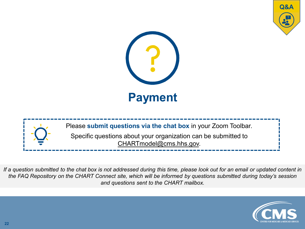





*If a question submitted to the chat box is not addressed during this time, please look out for an email or updated content in the FAQ Repository on the CHART Connect site, which will be informed by questions submitted during today's session and questions sent to the CHART mailbox.*

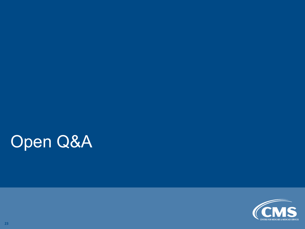# Open Q&A

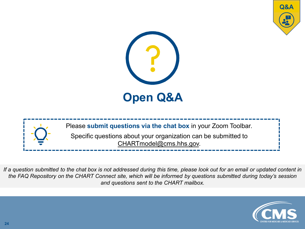





*If a question submitted to the chat box is not addressed during this time, please look out for an email or updated content in the FAQ Repository on the CHART Connect site, which will be informed by questions submitted during today's session and questions sent to the CHART mailbox.*

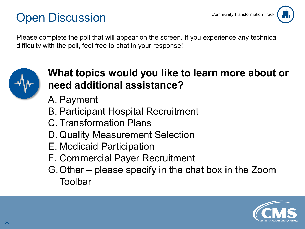### Open Discussion



Please complete the poll that will appear on the screen. If you experience any technical difficulty with the poll, feel free to chat in your response!



#### **What topics would you like to learn more about or need additional assistance?**

- A. Payment
- B. Participant Hospital Recruitment
- C. Transformation Plans
- D. Quality Measurement Selection
- E. Medicaid Participation
- F. Commercial Payer Recruitment
- G.Other please specify in the chat box in the Zoom Toolbar

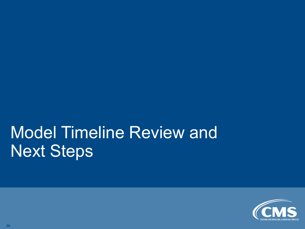# Model Timeline Review and Next Steps

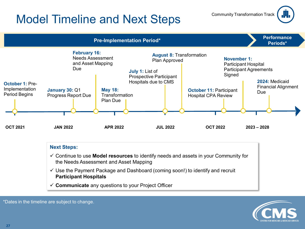### Model Timeline and Next Steps



| <b>Next Steps:</b>                                                                                                                               |
|--------------------------------------------------------------------------------------------------------------------------------------------------|
| $\checkmark$ Continue to use <b>Model resources</b> to identify needs and assets in your Community for<br>the Needs Assessment and Asset Mapping |
| $\checkmark$ Use the Payment Package and Dashboard (coming soon!) to identify and recruit<br><b>Participant Hospitals</b>                        |
| $\checkmark$ Communicate any questions to your Project Officer                                                                                   |
|                                                                                                                                                  |



Community Transformation Track

ņ

\*Dates in the timeline are subject to change.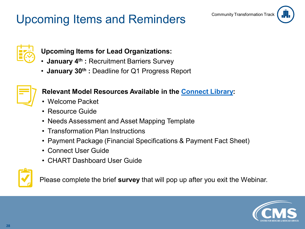### Upcoming Items and Reminders Community Transformation Track







#### **Upcoming Items for Lead Organizations:**

- **January 4th :** Recruitment Barriers Survey
- **January 30th :** Deadline for Q1 Progress Report



#### **Relevant Model Resources Available in the [Connect Library:](https://app.innovation.cms.gov/CMMIConnect/s/contentdocument/ContentDocument/All)**

- Welcome Packet
- Resource Guide
- Needs Assessment and Asset Mapping Template
- Transformation Plan Instructions
- Payment Package (Financial Specifications & Payment Fact Sheet)
- Connect User Guide
- CHART Dashboard User Guide



Please complete the brief **survey** that will pop up after you exit the Webinar.

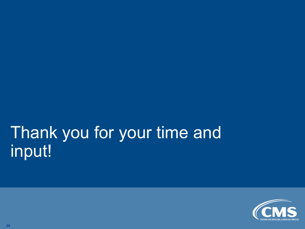# Thank you for your time and input!

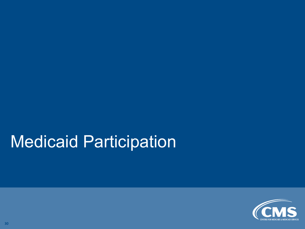# Medicaid Participation

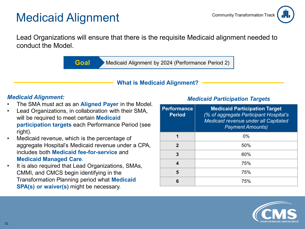### Medicaid Alignment



Lead Organizations will ensure that there is the requisite Medicaid alignment needed to conduct the Model.

**Goal** Medicaid Alignment by 2024 (Performance Period 2)

#### **What is Medicaid Alignment?**

#### *Medicaid Alignment:*

- The SMA must act as an **Aligned Payer** in the Model.
- Lead Organizations, in collaboration with their SMA, will be required to meet certain **Medicaid participation targets** each Performance Period (see right).
- Medicaid revenue, which is the percentage of aggregate Hospital's Medicaid revenue under a CPA, includes both **Medicaid fee-for-service** and **Medicaid Managed Care**.
- It is also required that Lead Organizations, SMAs, CMMI, and CMCS begin identifying in the Transformation Planning period what **Medicaid SPA(s) or waiver(s)** might be necessary.

#### *Medicaid Participation Targets*

| <b>Performance</b><br><b>Period</b> | <b>Medicaid Participation Target</b><br>(% of aggregate Participant Hospital's<br>Medicaid revenue under all Capitated<br><b>Payment Amounts)</b> |
|-------------------------------------|---------------------------------------------------------------------------------------------------------------------------------------------------|
| 1                                   | 0%                                                                                                                                                |
| 2                                   | 50%                                                                                                                                               |
| 3                                   | 60%                                                                                                                                               |
| 4                                   | 75%                                                                                                                                               |
| 5                                   | 75%                                                                                                                                               |
| 6                                   | 75%                                                                                                                                               |